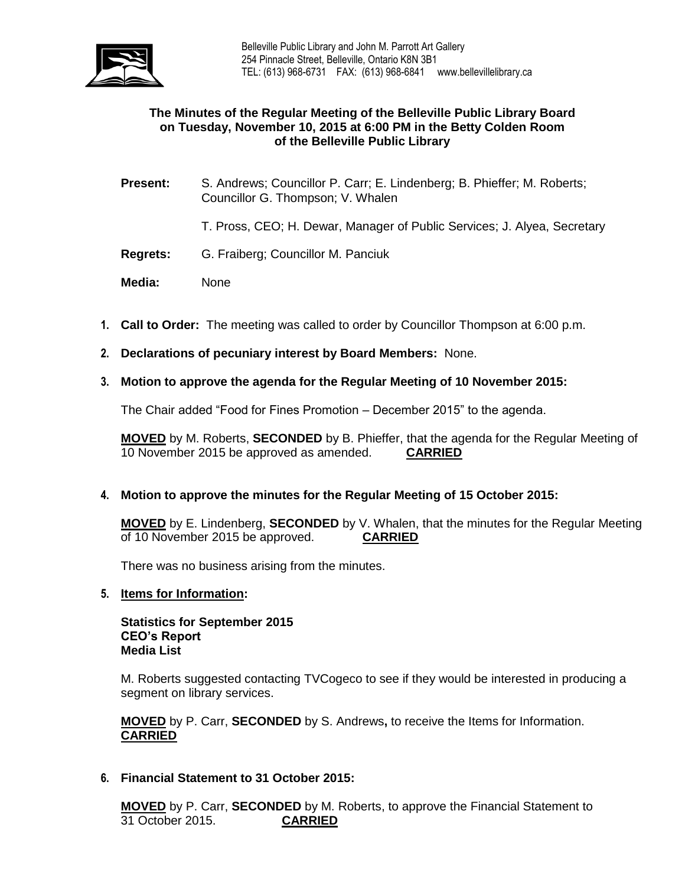

## **The Minutes of the Regular Meeting of the Belleville Public Library Board on Tuesday, November 10, 2015 at 6:00 PM in the Betty Colden Room of the Belleville Public Library**

- **Present:** S. Andrews; Councillor P. Carr; E. Lindenberg; B. Phieffer; M. Roberts; Councillor G. Thompson; V. Whalen
	- T. Pross, CEO; H. Dewar, Manager of Public Services; J. Alyea, Secretary
- **Regrets:** G. Fraiberg; Councillor M. Panciuk
- **Media:** None
- **1. Call to Order:** The meeting was called to order by Councillor Thompson at 6:00 p.m.
- **2. Declarations of pecuniary interest by Board Members:** None.
- **3. Motion to approve the agenda for the Regular Meeting of 10 November 2015:**

The Chair added "Food for Fines Promotion – December 2015" to the agenda.

**MOVED** by M. Roberts, **SECONDED** by B. Phieffer, that the agenda for the Regular Meeting of 10 November 2015 be approved as amended. **CARRIED**

## **4. Motion to approve the minutes for the Regular Meeting of 15 October 2015:**

**MOVED** by E. Lindenberg, **SECONDED** by V. Whalen, that the minutes for the Regular Meeting of 10 November 2015 be approved. **CARRIED**

There was no business arising from the minutes.

### **5. Items for Information:**

**Statistics for September 2015 CEO's Report Media List**

M. Roberts suggested contacting TVCogeco to see if they would be interested in producing a segment on library services.

**MOVED** by P. Carr, **SECONDED** by S. Andrews**,** to receive the Items for Information. **CARRIED**

**6. Financial Statement to 31 October 2015:**

**MOVED** by P. Carr, **SECONDED** by M. Roberts, to approve the Financial Statement to 31 October 2015. **CARRIED**